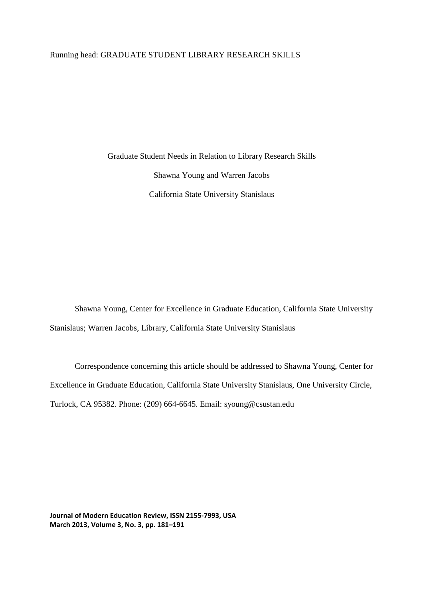Graduate Student Needs in Relation to Library Research Skills Shawna Young and Warren Jacobs California State University Stanislaus

Shawna Young, Center for Excellence in Graduate Education, California State University Stanislaus; Warren Jacobs, Library, California State University Stanislaus

Correspondence concerning this article should be addressed to Shawna Young, Center for Excellence in Graduate Education, California State University Stanislaus, One University Circle, Turlock, CA 95382. Phone: (209) 664-6645. Email: syoung@csustan.edu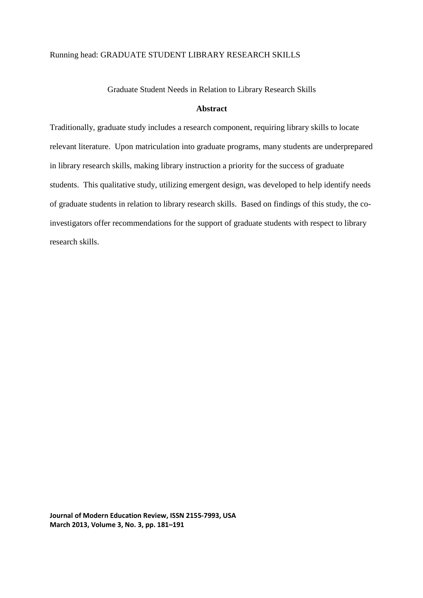# Graduate Student Needs in Relation to Library Research Skills

# **Abstract**

Traditionally, graduate study includes a research component, requiring library skills to locate relevant literature. Upon matriculation into graduate programs, many students are underprepared in library research skills, making library instruction a priority for the success of graduate students. This qualitative study, utilizing emergent design, was developed to help identify needs of graduate students in relation to library research skills. Based on findings of this study, the coinvestigators offer recommendations for the support of graduate students with respect to library research skills.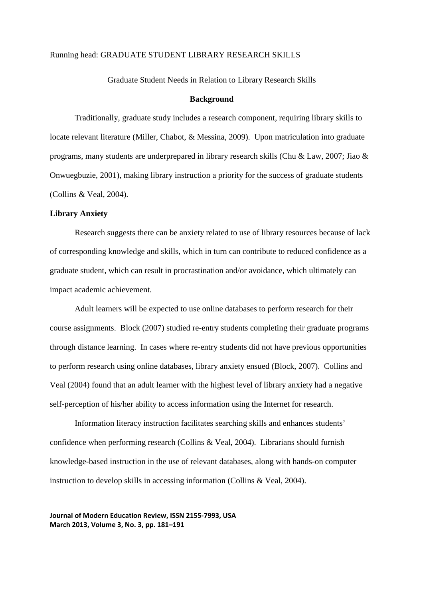#### Graduate Student Needs in Relation to Library Research Skills

### **Background**

Traditionally, graduate study includes a research component, requiring library skills to locate relevant literature (Miller, Chabot, & Messina, 2009). Upon matriculation into graduate programs, many students are underprepared in library research skills (Chu & Law, 2007; Jiao & Onwuegbuzie, 2001), making library instruction a priority for the success of graduate students (Collins & Veal, 2004).

### **Library Anxiety**

Research suggests there can be anxiety related to use of library resources because of lack of corresponding knowledge and skills, which in turn can contribute to reduced confidence as a graduate student, which can result in procrastination and/or avoidance, which ultimately can impact academic achievement.

Adult learners will be expected to use online databases to perform research for their course assignments. Block (2007) studied re-entry students completing their graduate programs through distance learning. In cases where re-entry students did not have previous opportunities to perform research using online databases, library anxiety ensued (Block, 2007). Collins and Veal (2004) found that an adult learner with the highest level of library anxiety had a negative self-perception of his/her ability to access information using the Internet for research.

 Information literacy instruction facilitates searching skills and enhances students' confidence when performing research (Collins & Veal, 2004). Librarians should furnish knowledge-based instruction in the use of relevant databases, along with hands-on computer instruction to develop skills in accessing information (Collins & Veal, 2004).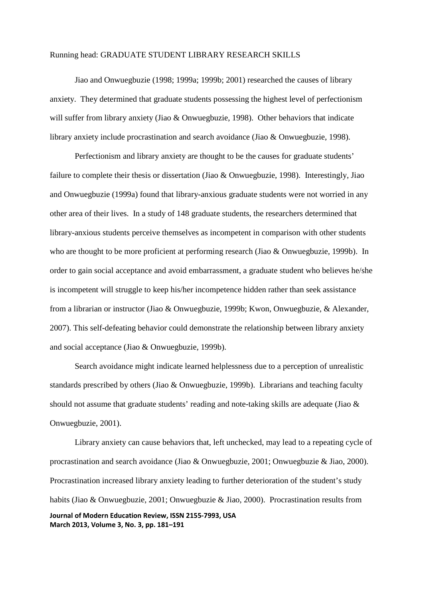Jiao and Onwuegbuzie (1998; 1999a; 1999b; 2001) researched the causes of library anxiety. They determined that graduate students possessing the highest level of perfectionism will suffer from library anxiety (Jiao & Onwuegbuzie, 1998). Other behaviors that indicate library anxiety include procrastination and search avoidance (Jiao & Onwuegbuzie, 1998).

 Perfectionism and library anxiety are thought to be the causes for graduate students' failure to complete their thesis or dissertation (Jiao & Onwuegbuzie, 1998). Interestingly, Jiao and Onwuegbuzie (1999a) found that library-anxious graduate students were not worried in any other area of their lives. In a study of 148 graduate students, the researchers determined that library-anxious students perceive themselves as incompetent in comparison with other students who are thought to be more proficient at performing research (Jiao & Onwuegbuzie, 1999b). In order to gain social acceptance and avoid embarrassment, a graduate student who believes he/she is incompetent will struggle to keep his/her incompetence hidden rather than seek assistance from a librarian or instructor (Jiao & Onwuegbuzie, 1999b; Kwon, Onwuegbuzie, & Alexander, 2007). This self-defeating behavior could demonstrate the relationship between library anxiety and social acceptance (Jiao & Onwuegbuzie, 1999b).

Search avoidance might indicate learned helplessness due to a perception of unrealistic standards prescribed by others (Jiao & Onwuegbuzie, 1999b). Librarians and teaching faculty should not assume that graduate students' reading and note-taking skills are adequate (Jiao & Onwuegbuzie, 2001).

**Journal of Modern Education Review, ISSN 2155-7993, USA March 2013, Volume 3, No. 3, pp. 181–191** Library anxiety can cause behaviors that, left unchecked, may lead to a repeating cycle of procrastination and search avoidance (Jiao & Onwuegbuzie, 2001; Onwuegbuzie & Jiao, 2000). Procrastination increased library anxiety leading to further deterioration of the student's study habits (Jiao & Onwuegbuzie, 2001; Onwuegbuzie & Jiao, 2000). Procrastination results from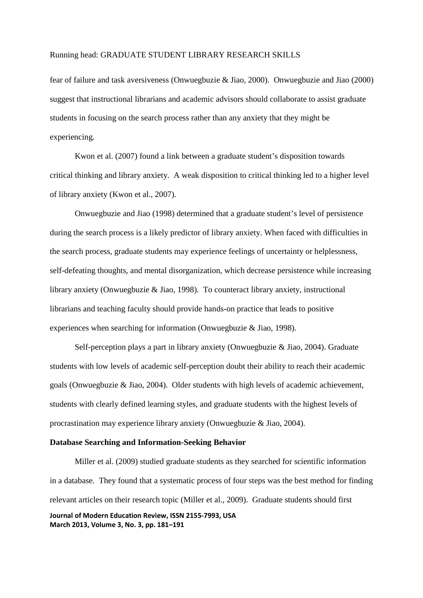fear of failure and task aversiveness (Onwuegbuzie & Jiao, 2000). Onwuegbuzie and Jiao (2000) suggest that instructional librarians and academic advisors should collaborate to assist graduate students in focusing on the search process rather than any anxiety that they might be experiencing.

 Kwon et al. (2007) found a link between a graduate student's disposition towards critical thinking and library anxiety. A weak disposition to critical thinking led to a higher level of library anxiety (Kwon et al., 2007).

Onwuegbuzie and Jiao (1998) determined that a graduate student's level of persistence during the search process is a likely predictor of library anxiety. When faced with difficulties in the search process, graduate students may experience feelings of uncertainty or helplessness, self-defeating thoughts, and mental disorganization, which decrease persistence while increasing library anxiety (Onwuegbuzie & Jiao, 1998). To counteract library anxiety, instructional librarians and teaching faculty should provide hands-on practice that leads to positive experiences when searching for information (Onwuegbuzie & Jiao, 1998).

 Self-perception plays a part in library anxiety (Onwuegbuzie & Jiao, 2004). Graduate students with low levels of academic self-perception doubt their ability to reach their academic goals (Onwuegbuzie & Jiao, 2004). Older students with high levels of academic achievement, students with clearly defined learning styles, and graduate students with the highest levels of procrastination may experience library anxiety (Onwuegbuzie & Jiao, 2004).

### **Database Searching and Information-Seeking Behavior**

**Journal of Modern Education Review, ISSN 2155-7993, USA March 2013, Volume 3, No. 3, pp. 181–191** Miller et al. (2009) studied graduate students as they searched for scientific information in a database. They found that a systematic process of four steps was the best method for finding relevant articles on their research topic (Miller et al., 2009). Graduate students should first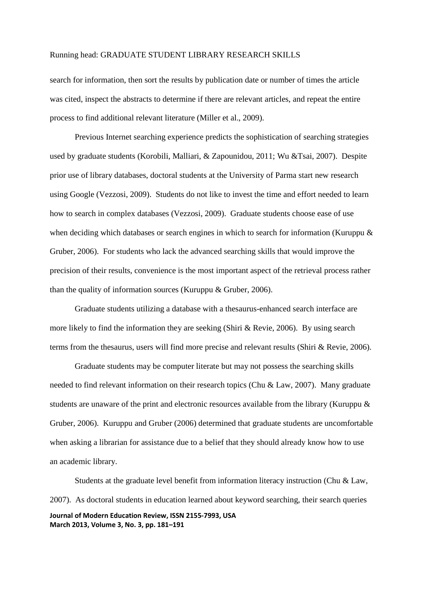search for information, then sort the results by publication date or number of times the article was cited, inspect the abstracts to determine if there are relevant articles, and repeat the entire process to find additional relevant literature (Miller et al., 2009).

Previous Internet searching experience predicts the sophistication of searching strategies used by graduate students (Korobili, Malliari, & Zapounidou, 2011; Wu &Tsai, 2007). Despite prior use of library databases, doctoral students at the University of Parma start new research using Google (Vezzosi, 2009). Students do not like to invest the time and effort needed to learn how to search in complex databases (Vezzosi, 2009). Graduate students choose ease of use when deciding which databases or search engines in which to search for information (Kuruppu & Gruber, 2006). For students who lack the advanced searching skills that would improve the precision of their results, convenience is the most important aspect of the retrieval process rather than the quality of information sources (Kuruppu & Gruber, 2006).

Graduate students utilizing a database with a thesaurus-enhanced search interface are more likely to find the information they are seeking (Shiri & Revie, 2006). By using search terms from the thesaurus, users will find more precise and relevant results (Shiri & Revie, 2006).

Graduate students may be computer literate but may not possess the searching skills needed to find relevant information on their research topics (Chu & Law, 2007). Many graduate students are unaware of the print and electronic resources available from the library (Kuruppu & Gruber, 2006). Kuruppu and Gruber (2006) determined that graduate students are uncomfortable when asking a librarian for assistance due to a belief that they should already know how to use an academic library.

**Journal of Modern Education Review, ISSN 2155-7993, USA March 2013, Volume 3, No. 3, pp. 181–191** Students at the graduate level benefit from information literacy instruction (Chu & Law, 2007). As doctoral students in education learned about keyword searching, their search queries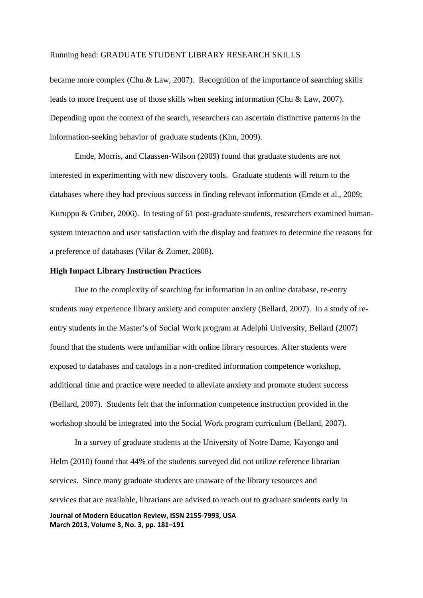became more complex (Chu & Law, 2007). Recognition of the importance of searching skills leads to more frequent use of those skills when seeking information (Chu & Law, 2007). Depending upon the context of the search, researchers can ascertain distinctive patterns in the information-seeking behavior of graduate students (Kim, 2009).

Emde, Morris, and Claassen-Wilson (2009) found that graduate students are not interested in experimenting with new discovery tools. Graduate students will return to the databases where they had previous success in finding relevant information (Emde et al., 2009; Kuruppu & Gruber, 2006). In testing of 61 post-graduate students, researchers examined humansystem interaction and user satisfaction with the display and features to determine the reasons for a preference of databases (Vilar & Zumer, 2008).

# **High Impact Library Instruction Practices**

Due to the complexity of searching for information in an online database, re-entry students may experience library anxiety and computer anxiety (Bellard, 2007). In a study of reentry students in the Master's of Social Work program at Adelphi University, Bellard (2007) found that the students were unfamiliar with online library resources. After students were exposed to databases and catalogs in a non-credited information competence workshop, additional time and practice were needed to alleviate anxiety and promote student success (Bellard, 2007). Students felt that the information competence instruction provided in the workshop should be integrated into the Social Work program curriculum (Bellard, 2007).

**Journal of Modern Education Review, ISSN 2155-7993, USA March 2013, Volume 3, No. 3, pp. 181–191** In a survey of graduate students at the University of Notre Dame, Kayongo and Helm (2010) found that 44% of the students surveyed did not utilize reference librarian services. Since many graduate students are unaware of the library resources and services that are available, librarians are advised to reach out to graduate students early in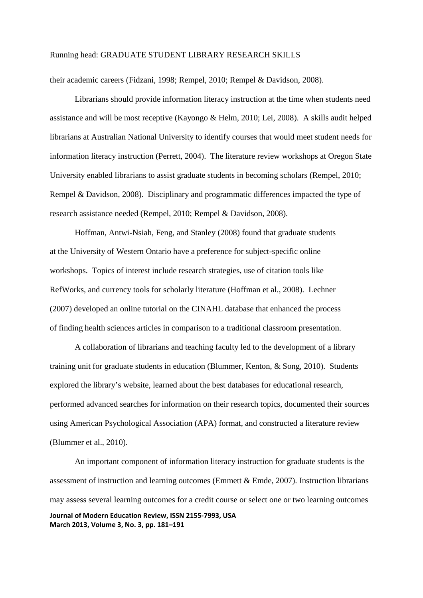their academic careers (Fidzani, 1998; Rempel, 2010; Rempel & Davidson, 2008).

Librarians should provide information literacy instruction at the time when students need assistance and will be most receptive (Kayongo & Helm, 2010; Lei, 2008). A skills audit helped librarians at Australian National University to identify courses that would meet student needs for information literacy instruction (Perrett, 2004). The literature review workshops at Oregon State University enabled librarians to assist graduate students in becoming scholars (Rempel, 2010; Rempel & Davidson, 2008). Disciplinary and programmatic differences impacted the type of research assistance needed (Rempel, 2010; Rempel & Davidson, 2008).

Hoffman, Antwi-Nsiah, Feng, and Stanley (2008) found that graduate students at the University of Western Ontario have a preference for subject-specific online workshops. Topics of interest include research strategies, use of citation tools like RefWorks, and currency tools for scholarly literature (Hoffman et al., 2008). Lechner (2007) developed an online tutorial on the CINAHL database that enhanced the process of finding health sciences articles in comparison to a traditional classroom presentation.

 A collaboration of librarians and teaching faculty led to the development of a library training unit for graduate students in education (Blummer, Kenton, & Song, 2010). Students explored the library's website, learned about the best databases for educational research, performed advanced searches for information on their research topics, documented their sources using American Psychological Association (APA) format, and constructed a literature review (Blummer et al., 2010).

**Journal of Modern Education Review, ISSN 2155-7993, USA March 2013, Volume 3, No. 3, pp. 181–191** An important component of information literacy instruction for graduate students is the assessment of instruction and learning outcomes (Emmett & Emde, 2007). Instruction librarians may assess several learning outcomes for a credit course or select one or two learning outcomes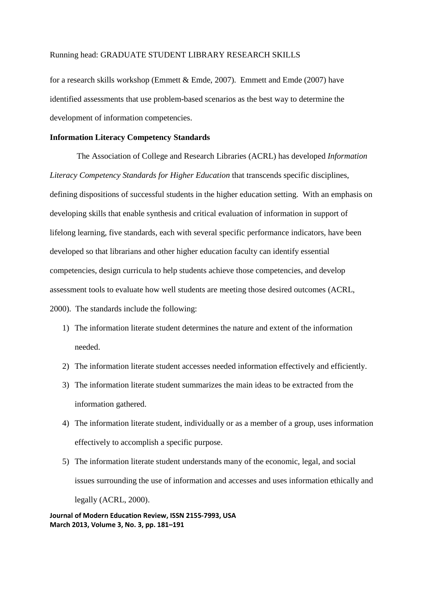for a research skills workshop (Emmett & Emde, 2007). Emmett and Emde (2007) have identified assessments that use problem-based scenarios as the best way to determine the development of information competencies.

# **Information Literacy Competency Standards**

 The Association of College and Research Libraries (ACRL) has developed *Information Literacy Competency Standards for Higher Education* that transcends specific disciplines, defining dispositions of successful students in the higher education setting. With an emphasis on developing skills that enable synthesis and critical evaluation of information in support of lifelong learning, five standards, each with several specific performance indicators, have been developed so that librarians and other higher education faculty can identify essential competencies, design curricula to help students achieve those competencies, and develop assessment tools to evaluate how well students are meeting those desired outcomes (ACRL, 2000). The standards include the following:

- 1) The information literate student determines the nature and extent of the information needed.
- 2) The information literate student accesses needed information effectively and efficiently.
- 3) The information literate student summarizes the main ideas to be extracted from the information gathered.
- 4) The information literate student, individually or as a member of a group, uses information effectively to accomplish a specific purpose.
- 5) The information literate student understands many of the economic, legal, and social issues surrounding the use of information and accesses and uses information ethically and legally (ACRL, 2000).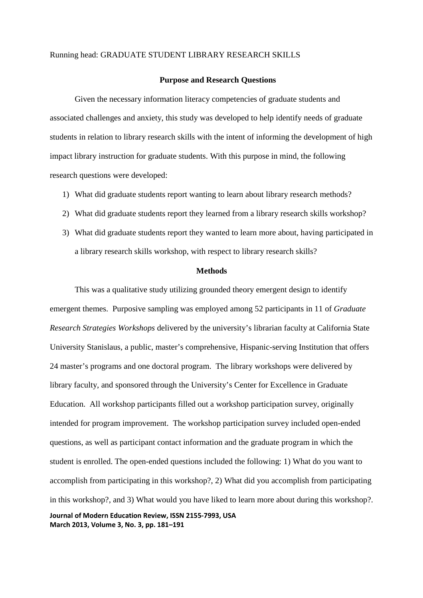### **Purpose and Research Questions**

Given the necessary information literacy competencies of graduate students and associated challenges and anxiety, this study was developed to help identify needs of graduate students in relation to library research skills with the intent of informing the development of high impact library instruction for graduate students. With this purpose in mind, the following research questions were developed:

- 1) What did graduate students report wanting to learn about library research methods?
- 2) What did graduate students report they learned from a library research skills workshop?
- 3) What did graduate students report they wanted to learn more about, having participated in a library research skills workshop, with respect to library research skills?

#### **Methods**

**Journal of Modern Education Review, ISSN 2155-7993, USA** This was a qualitative study utilizing grounded theory emergent design to identify emergent themes. Purposive sampling was employed among 52 participants in 11 of *Graduate Research Strategies Workshops* delivered by the university's librarian faculty at California State University Stanislaus, a public, master's comprehensive, Hispanic-serving Institution that offers 24 master's programs and one doctoral program. The library workshops were delivered by library faculty, and sponsored through the University's Center for Excellence in Graduate Education. All workshop participants filled out a workshop participation survey, originally intended for program improvement. The workshop participation survey included open-ended questions, as well as participant contact information and the graduate program in which the student is enrolled. The open-ended questions included the following: 1) What do you want to accomplish from participating in this workshop?, 2) What did you accomplish from participating in this workshop?, and 3) What would you have liked to learn more about during this workshop?.

**March 2013, Volume 3, No. 3, pp. 181–191**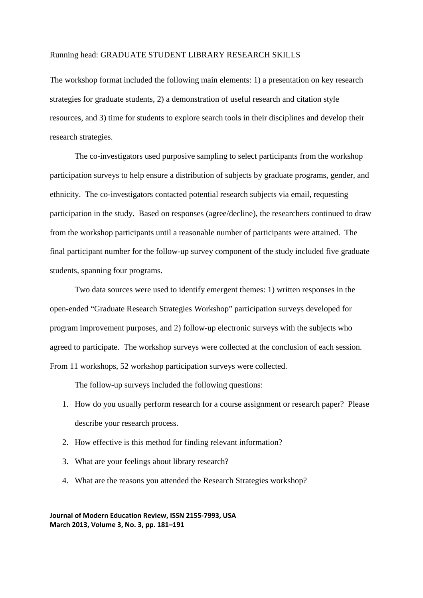The workshop format included the following main elements: 1) a presentation on key research strategies for graduate students, 2) a demonstration of useful research and citation style resources, and 3) time for students to explore search tools in their disciplines and develop their research strategies.

The co-investigators used purposive sampling to select participants from the workshop participation surveys to help ensure a distribution of subjects by graduate programs, gender, and ethnicity. The co-investigators contacted potential research subjects via email, requesting participation in the study. Based on responses (agree/decline), the researchers continued to draw from the workshop participants until a reasonable number of participants were attained. The final participant number for the follow-up survey component of the study included five graduate students, spanning four programs.

Two data sources were used to identify emergent themes: 1) written responses in the open-ended "Graduate Research Strategies Workshop" participation surveys developed for program improvement purposes, and 2) follow-up electronic surveys with the subjects who agreed to participate. The workshop surveys were collected at the conclusion of each session. From 11 workshops, 52 workshop participation surveys were collected.

The follow-up surveys included the following questions:

- 1. How do you usually perform research for a course assignment or research paper? Please describe your research process.
- 2. How effective is this method for finding relevant information?
- 3. What are your feelings about library research?
- 4. What are the reasons you attended the Research Strategies workshop?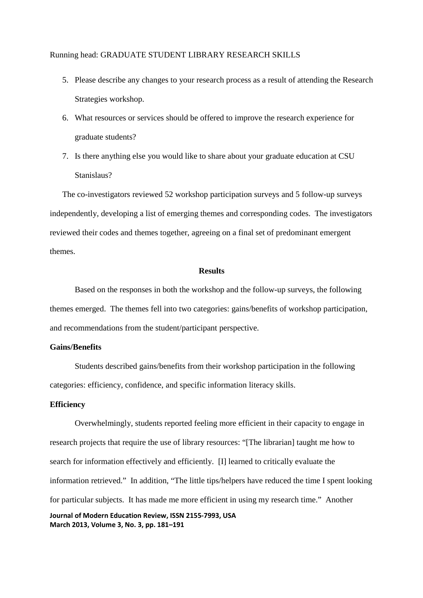- 5. Please describe any changes to your research process as a result of attending the Research Strategies workshop.
- 6. What resources or services should be offered to improve the research experience for graduate students?
- 7. Is there anything else you would like to share about your graduate education at CSU Stanislaus?

The co-investigators reviewed 52 workshop participation surveys and 5 follow-up surveys independently, developing a list of emerging themes and corresponding codes. The investigators reviewed their codes and themes together, agreeing on a final set of predominant emergent themes.

### **Results**

 Based on the responses in both the workshop and the follow-up surveys, the following themes emerged. The themes fell into two categories: gains/benefits of workshop participation, and recommendations from the student/participant perspective.

# **Gains/Benefits**

Students described gains/benefits from their workshop participation in the following categories: efficiency, confidence, and specific information literacy skills.

# **Efficiency**

**Journal of Modern Education Review, ISSN 2155-7993, USA March 2013, Volume 3, No. 3, pp. 181–191** Overwhelmingly, students reported feeling more efficient in their capacity to engage in research projects that require the use of library resources: "[The librarian] taught me how to search for information effectively and efficiently. [I] learned to critically evaluate the information retrieved." In addition, "The little tips/helpers have reduced the time I spent looking for particular subjects. It has made me more efficient in using my research time." Another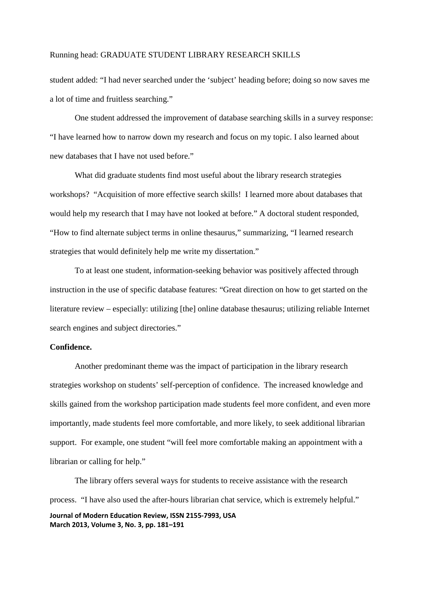student added: "I had never searched under the 'subject' heading before; doing so now saves me a lot of time and fruitless searching."

One student addressed the improvement of database searching skills in a survey response: "I have learned how to narrow down my research and focus on my topic. I also learned about new databases that I have not used before."

What did graduate students find most useful about the library research strategies workshops? "Acquisition of more effective search skills! I learned more about databases that would help my research that I may have not looked at before." A doctoral student responded, "How to find alternate subject terms in online thesaurus," summarizing, "I learned research strategies that would definitely help me write my dissertation."

To at least one student, information-seeking behavior was positively affected through instruction in the use of specific database features: "Great direction on how to get started on the literature review – especially: utilizing [the] online database thesaurus; utilizing reliable Internet search engines and subject directories."

# **Confidence.**

 Another predominant theme was the impact of participation in the library research strategies workshop on students' self-perception of confidence. The increased knowledge and skills gained from the workshop participation made students feel more confident, and even more importantly, made students feel more comfortable, and more likely, to seek additional librarian support. For example, one student "will feel more comfortable making an appointment with a librarian or calling for help."

**Journal of Modern Education Review, ISSN 2155-7993, USA March 2013, Volume 3, No. 3, pp. 181–191** The library offers several ways for students to receive assistance with the research process. "I have also used the after-hours librarian chat service, which is extremely helpful."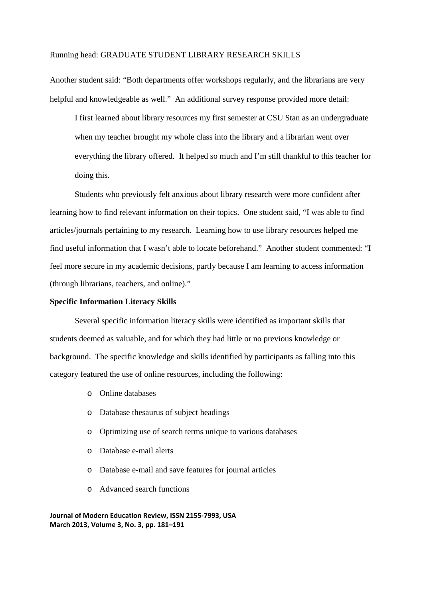Another student said: "Both departments offer workshops regularly, and the librarians are very helpful and knowledgeable as well." An additional survey response provided more detail:

I first learned about library resources my first semester at CSU Stan as an undergraduate when my teacher brought my whole class into the library and a librarian went over everything the library offered. It helped so much and I'm still thankful to this teacher for doing this.

Students who previously felt anxious about library research were more confident after learning how to find relevant information on their topics. One student said, "I was able to find articles/journals pertaining to my research. Learning how to use library resources helped me find useful information that I wasn't able to locate beforehand." Another student commented: "I feel more secure in my academic decisions, partly because I am learning to access information (through librarians, teachers, and online)."

### **Specific Information Literacy Skills**

 Several specific information literacy skills were identified as important skills that students deemed as valuable, and for which they had little or no previous knowledge or background. The specific knowledge and skills identified by participants as falling into this category featured the use of online resources, including the following:

- o Online databases
- o Database thesaurus of subject headings
- o Optimizing use of search terms unique to various databases
- o Database e-mail alerts
- o Database e-mail and save features for journal articles
- o Advanced search functions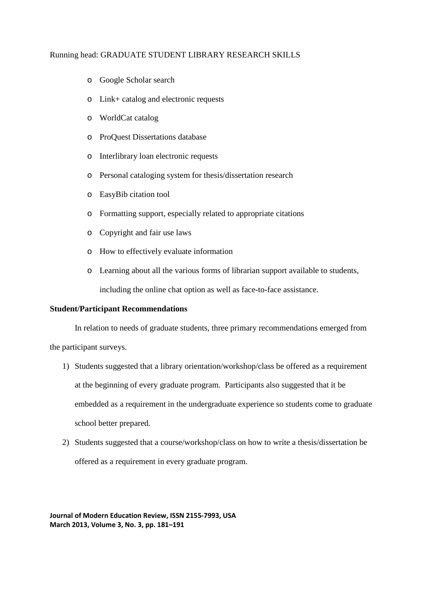- o Google Scholar search
- o Link+ catalog and electronic requests
- o WorldCat catalog
- o ProQuest Dissertations database
- o Interlibrary loan electronic requests
- o Personal cataloging system for thesis/dissertation research
- o EasyBib citation tool
- o Formatting support, especially related to appropriate citations
- o Copyright and fair use laws
- o How to effectively evaluate information
- o Learning about all the various forms of librarian support available to students, including the online chat option as well as face-to-face assistance.

# **Student/Participant Recommendations**

 In relation to needs of graduate students, three primary recommendations emerged from the participant surveys.

- 1) Students suggested that a library orientation/workshop/class be offered as a requirement at the beginning of every graduate program. Participants also suggested that it be embedded as a requirement in the undergraduate experience so students come to graduate school better prepared.
- 2) Students suggested that a course/workshop/class on how to write a thesis/dissertation be offered as a requirement in every graduate program.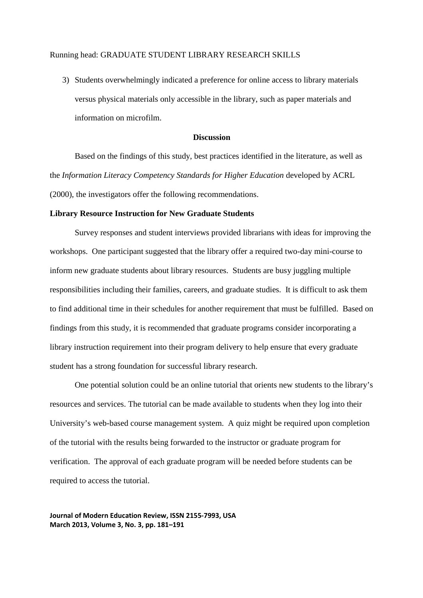3) Students overwhelmingly indicated a preference for online access to library materials versus physical materials only accessible in the library, such as paper materials and information on microfilm.

### **Discussion**

 Based on the findings of this study, best practices identified in the literature, as well as the *Information Literacy Competency Standards for Higher Education* developed by ACRL (2000), the investigators offer the following recommendations.

### **Library Resource Instruction for New Graduate Students**

Survey responses and student interviews provided librarians with ideas for improving the workshops. One participant suggested that the library offer a required two-day mini-course to inform new graduate students about library resources. Students are busy juggling multiple responsibilities including their families, careers, and graduate studies. It is difficult to ask them to find additional time in their schedules for another requirement that must be fulfilled. Based on findings from this study, it is recommended that graduate programs consider incorporating a library instruction requirement into their program delivery to help ensure that every graduate student has a strong foundation for successful library research.

One potential solution could be an online tutorial that orients new students to the library's resources and services. The tutorial can be made available to students when they log into their University's web-based course management system. A quiz might be required upon completion of the tutorial with the results being forwarded to the instructor or graduate program for verification. The approval of each graduate program will be needed before students can be required to access the tutorial.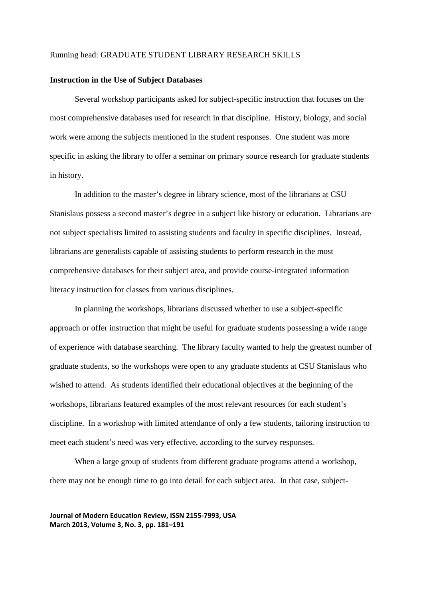### **Instruction in the Use of Subject Databases**

Several workshop participants asked for subject-specific instruction that focuses on the most comprehensive databases used for research in that discipline. History, biology, and social work were among the subjects mentioned in the student responses. One student was more specific in asking the library to offer a seminar on primary source research for graduate students in history.

In addition to the master's degree in library science, most of the librarians at CSU Stanislaus possess a second master's degree in a subject like history or education. Librarians are not subject specialists limited to assisting students and faculty in specific disciplines. Instead, librarians are generalists capable of assisting students to perform research in the most comprehensive databases for their subject area, and provide course-integrated information literacy instruction for classes from various disciplines.

In planning the workshops, librarians discussed whether to use a subject-specific approach or offer instruction that might be useful for graduate students possessing a wide range of experience with database searching. The library faculty wanted to help the greatest number of graduate students, so the workshops were open to any graduate students at CSU Stanislaus who wished to attend. As students identified their educational objectives at the beginning of the workshops, librarians featured examples of the most relevant resources for each student's discipline. In a workshop with limited attendance of only a few students, tailoring instruction to meet each student's need was very effective, according to the survey responses.

When a large group of students from different graduate programs attend a workshop, there may not be enough time to go into detail for each subject area. In that case, subject-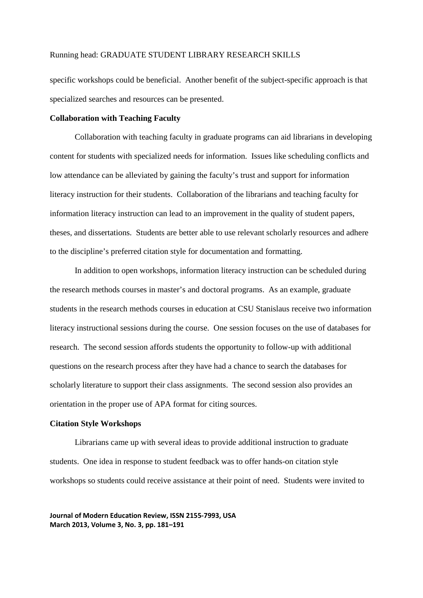specific workshops could be beneficial. Another benefit of the subject-specific approach is that specialized searches and resources can be presented.

#### **Collaboration with Teaching Faculty**

Collaboration with teaching faculty in graduate programs can aid librarians in developing content for students with specialized needs for information. Issues like scheduling conflicts and low attendance can be alleviated by gaining the faculty's trust and support for information literacy instruction for their students. Collaboration of the librarians and teaching faculty for information literacy instruction can lead to an improvement in the quality of student papers, theses, and dissertations. Students are better able to use relevant scholarly resources and adhere to the discipline's preferred citation style for documentation and formatting.

In addition to open workshops, information literacy instruction can be scheduled during the research methods courses in master's and doctoral programs. As an example, graduate students in the research methods courses in education at CSU Stanislaus receive two information literacy instructional sessions during the course. One session focuses on the use of databases for research. The second session affords students the opportunity to follow-up with additional questions on the research process after they have had a chance to search the databases for scholarly literature to support their class assignments. The second session also provides an orientation in the proper use of APA format for citing sources.

#### **Citation Style Workshops**

Librarians came up with several ideas to provide additional instruction to graduate students. One idea in response to student feedback was to offer hands-on citation style workshops so students could receive assistance at their point of need. Students were invited to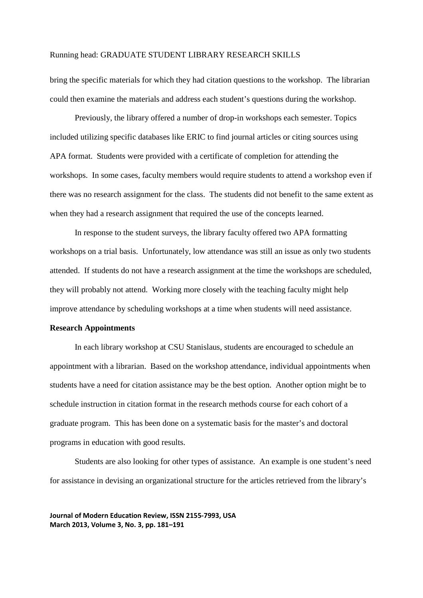bring the specific materials for which they had citation questions to the workshop. The librarian could then examine the materials and address each student's questions during the workshop.

Previously, the library offered a number of drop-in workshops each semester. Topics included utilizing specific databases like ERIC to find journal articles or citing sources using APA format. Students were provided with a certificate of completion for attending the workshops. In some cases, faculty members would require students to attend a workshop even if there was no research assignment for the class. The students did not benefit to the same extent as when they had a research assignment that required the use of the concepts learned.

In response to the student surveys, the library faculty offered two APA formatting workshops on a trial basis. Unfortunately, low attendance was still an issue as only two students attended. If students do not have a research assignment at the time the workshops are scheduled, they will probably not attend. Working more closely with the teaching faculty might help improve attendance by scheduling workshops at a time when students will need assistance.

# **Research Appointments**

In each library workshop at CSU Stanislaus, students are encouraged to schedule an appointment with a librarian. Based on the workshop attendance, individual appointments when students have a need for citation assistance may be the best option. Another option might be to schedule instruction in citation format in the research methods course for each cohort of a graduate program. This has been done on a systematic basis for the master's and doctoral programs in education with good results.

Students are also looking for other types of assistance. An example is one student's need for assistance in devising an organizational structure for the articles retrieved from the library's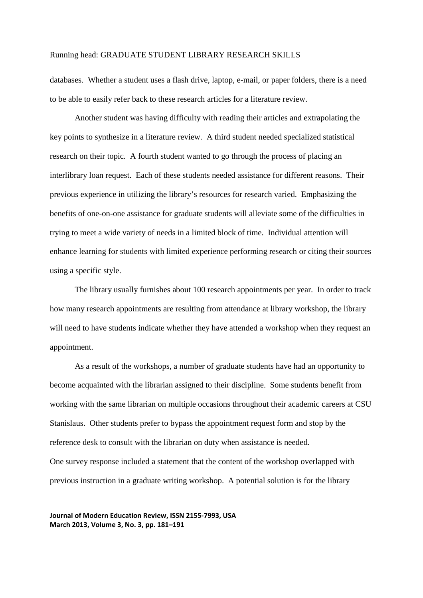databases. Whether a student uses a flash drive, laptop, e-mail, or paper folders, there is a need to be able to easily refer back to these research articles for a literature review.

Another student was having difficulty with reading their articles and extrapolating the key points to synthesize in a literature review. A third student needed specialized statistical research on their topic. A fourth student wanted to go through the process of placing an interlibrary loan request. Each of these students needed assistance for different reasons. Their previous experience in utilizing the library's resources for research varied. Emphasizing the benefits of one-on-one assistance for graduate students will alleviate some of the difficulties in trying to meet a wide variety of needs in a limited block of time. Individual attention will enhance learning for students with limited experience performing research or citing their sources using a specific style.

The library usually furnishes about 100 research appointments per year. In order to track how many research appointments are resulting from attendance at library workshop, the library will need to have students indicate whether they have attended a workshop when they request an appointment.

As a result of the workshops, a number of graduate students have had an opportunity to become acquainted with the librarian assigned to their discipline. Some students benefit from working with the same librarian on multiple occasions throughout their academic careers at CSU Stanislaus. Other students prefer to bypass the appointment request form and stop by the reference desk to consult with the librarian on duty when assistance is needed. One survey response included a statement that the content of the workshop overlapped with previous instruction in a graduate writing workshop. A potential solution is for the library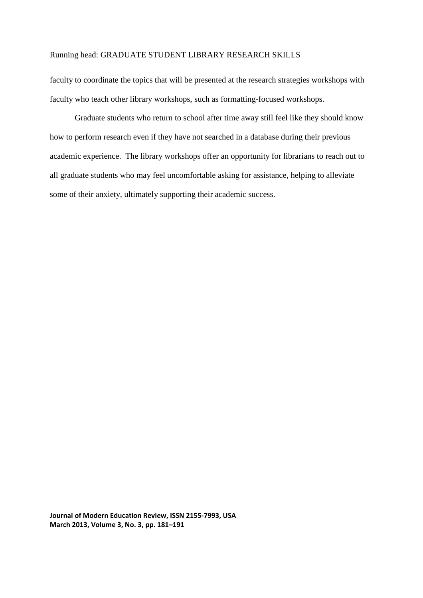faculty to coordinate the topics that will be presented at the research strategies workshops with faculty who teach other library workshops, such as formatting-focused workshops.

Graduate students who return to school after time away still feel like they should know how to perform research even if they have not searched in a database during their previous academic experience. The library workshops offer an opportunity for librarians to reach out to all graduate students who may feel uncomfortable asking for assistance, helping to alleviate some of their anxiety, ultimately supporting their academic success.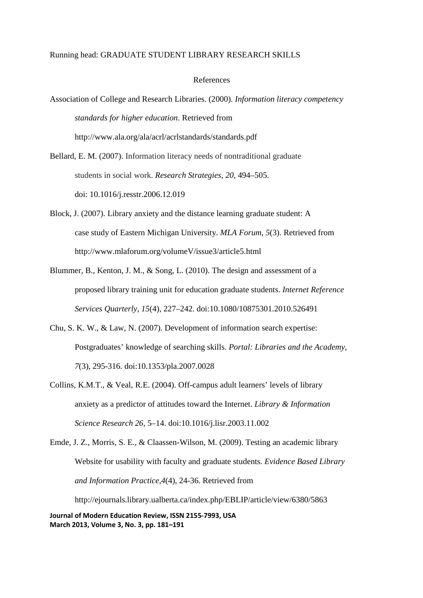#### References

Association of College and Research Libraries. (2000). *Information literacy competency standards for higher education*. Retrieved from http://www.ala.org/ala/acrl/acrlstandards/standards.pdf

Bellard, E. M. (2007). Information literacy needs of nontraditional graduate students in social work. *Research Strategies, 20*, 494–505. doi: 10.1016/j.resstr.2006.12.019

- Block, J. (2007). Library anxiety and the distance learning graduate student: A case study of Eastern Michigan University. *MLA Forum, 5*(3). Retrieved from http://www.mlaforum.org/volumeV/issue3/article5.html
- Blummer, B., Kenton, J. M., & Song, L. (2010). The design and assessment of a proposed library training unit for education graduate students. *Internet Reference Services Quarterly, 15*(4), 227–242. doi:10.1080/10875301.2010.526491
- Chu, S. K. W., & Law, N. (2007). Development of information search expertise: Postgraduates' knowledge of searching skills. *Portal: Libraries and the Academy, 7*(3), 295-316. doi:10.1353/pla.2007.0028
- Collins, K.M.T., & Veal, R.E. (2004). Off-campus adult learners' levels of library anxiety as a predictor of attitudes toward the Internet. *Library & Information Science Research 26*, 5–14. doi:10.1016/j.lisr.2003.11.002

**Journal of Modern Education Review, ISSN 2155-7993, USA** Emde, J. Z., Morris, S. E., & Claassen-Wilson, M. (2009). Testing an academic library Website for usability with faculty and graduate students. *Evidence Based Library and Information Practice,4*(4), 24-36. Retrieved from http://ejournals.library.ualberta.ca/index.php/EBLIP/article/view/6380/5863

**March 2013, Volume 3, No. 3, pp. 181–191**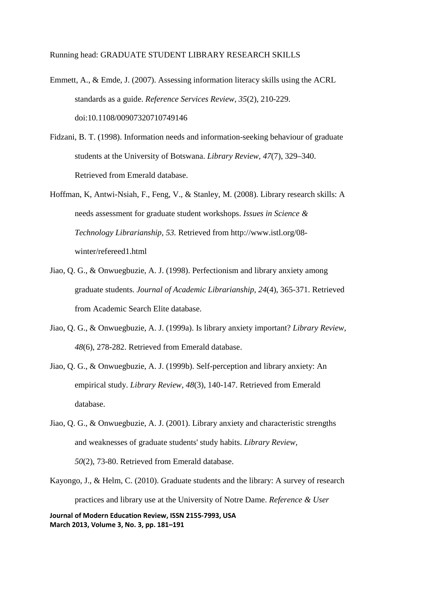Emmett, A., & Emde, J. (2007). Assessing information literacy skills using the ACRL standards as a guide. *Reference Services Review, 35*(2), 210-229. doi:10.1108/00907320710749146

- Fidzani, B. T. (1998). Information needs and information-seeking behaviour of graduate students at the University of Botswana. *Library Review, 47*(7), 329–340. Retrieved from Emerald database.
- Hoffman, K, Antwi-Nsiah, F., Feng, V., & Stanley, M. (2008). Library research skills: A needs assessment for graduate student workshops. *Issues in Science & Technology Librarianship, 53.* Retrieved from http://www.istl.org/08 winter/refereed1.html
- Jiao, Q. G., & Onwuegbuzie, A. J. (1998). Perfectionism and library anxiety among graduate students. *Journal of Academic Librarianship, 24*(4), 365-371. Retrieved from Academic Search Elite database.
- Jiao, Q. G., & Onwuegbuzie, A. J. (1999a). Is library anxiety important? *Library Review, 48*(6), 278-282. Retrieved from Emerald database.

Jiao, Q. G., & Onwuegbuzie, A. J. (1999b). Self-perception and library anxiety: An empirical study. *Library Review, 48*(3), 140-147. Retrieved from Emerald database.

Jiao, Q. G., & Onwuegbuzie, A. J. (2001). Library anxiety and characteristic strengths and weaknesses of graduate students' study habits. *Library Review, 50*(2), 73-80. Retrieved from Emerald database.

Kayongo, J., & Helm, C. (2010). Graduate students and the library: A survey of research practices and library use at the University of Notre Dame. *Reference & User*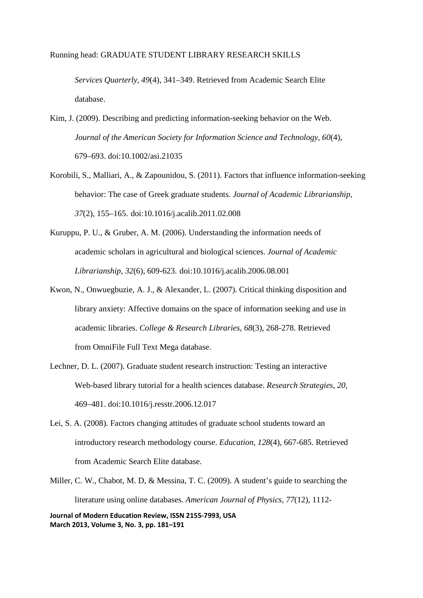*Services Quarterly, 49*(4), 341–349. Retrieved from Academic Search Elite database.

- Kim, J. (2009). Describing and predicting information-seeking behavior on the Web. *Journal of the American Society for Information Science and Technology, 60*(4), 679–693. doi:10.1002/asi.21035
- Korobili, S., Malliari, A., & Zapounidou, S. (2011). Factors that influence information-seeking behavior: The case of Greek graduate students. *Journal of Academic Librarianship, 37*(2), 155–165. doi:10.1016/j.acalib.2011.02.008
- Kuruppu, P. U., & Gruber, A. M. (2006). Understanding the information needs of academic scholars in agricultural and biological sciences. *Journal of Academic Librarianship, 32*(6), 609-623. doi:10.1016/j.acalib.2006.08.001
- Kwon, N., Onwuegbuzie, A. J., & Alexander, L. (2007). Critical thinking disposition and library anxiety: Affective domains on the space of information seeking and use in academic libraries. *College & Research Libraries*, *68*(3), 268-278. Retrieved from OmniFile Full Text Mega database.
- Lechner, D. L. (2007). Graduate student research instruction: Testing an interactive Web-based library tutorial for a health sciences database. *Research Strategies, 20*, 469–481. doi:10.1016/j.resstr.2006.12.017
- Lei, S. A. (2008). Factors changing attitudes of graduate school students toward an introductory research methodology course. *Education, 128*(4), 667-685. Retrieved from Academic Search Elite database.
- Miller, C. W., Chabot, M. D, & Messina, T. C. (2009). A student's guide to searching the literature using online databases. *American Journal of Physics, 77*(12), 1112-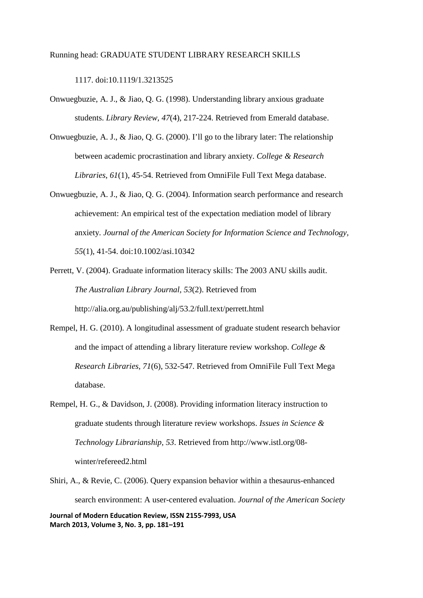1117. doi:10.1119/1.3213525

- Onwuegbuzie, A. J., & Jiao, Q. G. (1998). Understanding library anxious graduate students. *Library Review, 47*(4), 217-224. Retrieved from Emerald database.
- Onwuegbuzie, A. J., & Jiao, Q. G. (2000). I'll go to the library later: The relationship between academic procrastination and library anxiety. *College & Research Libraries*, *61*(1), 45-54. Retrieved from OmniFile Full Text Mega database.
- Onwuegbuzie, A. J., & Jiao, Q. G. (2004). Information search performance and research achievement: An empirical test of the expectation mediation model of library anxiety. *Journal of the American Society for Information Science and Technology, 55*(1), 41-54. doi:10.1002/asi.10342
- Perrett, V. (2004). Graduate information literacy skills: The 2003 ANU skills audit. *The Australian Library Journal, 53*(2). Retrieved from http://alia.org.au/publishing/alj/53.2/full.text/perrett.html
- Rempel, H. G. (2010). A longitudinal assessment of graduate student research behavior and the impact of attending a library literature review workshop. *College & Research Libraries, 71*(6), 532-547. Retrieved from OmniFile Full Text Mega database.
- Rempel, H. G., & Davidson, J. (2008). Providing information literacy instruction to graduate students through literature review workshops. *Issues in Science & Technology Librarianship, 53*. Retrieved from http://www.istl.org/08 winter/refereed2.html
- **Journal of Modern Education Review, ISSN 2155-7993, USA March 2013, Volume 3, No. 3, pp. 181–191** Shiri, A., & Revie, C. (2006). Query expansion behavior within a thesaurus-enhanced search environment: A user-centered evaluation. *Journal of the American Society*